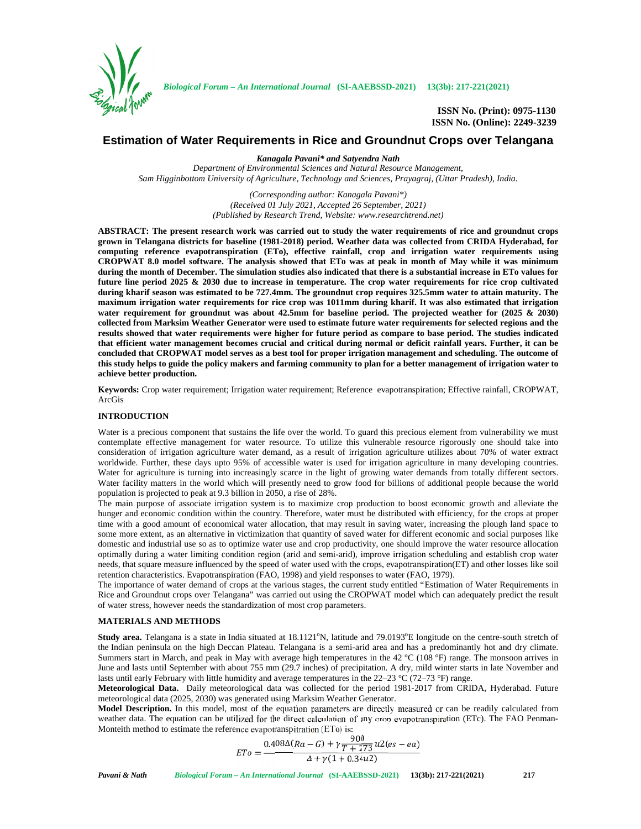

**ISSN No. (Print): 0975-1130 ISSN No. (Online): 2249-3239**

# **Estimation of Water Requirements in Rice and Groundnut Crops over Telangana**

*Kanagala Pavani\* and Satyendra Nath*

*Department of Environmental Sciences and Natural Resource Management, Sam Higginbottom University of Agriculture, Technology and Sciences, Prayagraj, (Uttar Pradesh), India.*

> *(Corresponding author: Kanagala Pavani\*) (Received 01 July 2021, Accepted 26 September, 2021) (Published by Research Trend, Website: <www.researchtrend.net>)*

**ABSTRACT: The present research work was carried out to study the water requirements of rice and groundnut crops grown in Telangana districts for baseline (1981-2018) period. Weather data was collected from CRIDA Hyderabad, for computing reference evapotranspiration (ETo), effective rainfall, crop and irrigation water requirements using CROPWAT 8.0 model software. The analysis showed that ETo was at peak in month of May while it was minimum during the month of December. The simulation studies also indicated that there is a substantial increase in ETo values for future line period 2025 & 2030 due to increase in temperature. The crop water requirements for rice crop cultivated during kharif season was estimated to be 727.4mm. The groundnut crop requires 325.5mm water to attain maturity. The maximum irrigation water requirements for rice crop was 1011mm during kharif. It was also estimated that irrigation water requirement for groundnut was about 42.5mm for baseline period. The projected weather for (2025 & 2030) collected from Marksim Weather Generator were used to estimate future water requirements for selected regions and the results showed that water requirements were higher for future period as compare to base period. The studies indicated that efficient water management becomes crucial and critical during normal or deficit rainfall years. Further, it can be concluded that CROPWAT model serves as a best tool for proper irrigation management and scheduling. The outcome of this study helps to guide the policy makers and farming community to plan for a better management of irrigation water to achieve better production.**

**Keywords:** Crop water requirement; Irrigation water requirement; Reference evapotranspiration; Effective rainfall, CROPWAT, ArcGis

#### **INTRODUCTION**

Water is a precious component that sustains the life over the world. To guard this precious element from vulnerability we must contemplate effective management for water resource. To utilize this vulnerable resource rigorously one should take into consideration of irrigation agriculture water demand, as a result of irrigation agriculture utilizes about 70% of water extract worldwide. Further, these days upto 95% of accessible water is used for irrigation agriculture in many developing countries. Water for agriculture is turning into increasingly scarce in the light of growing water demands from totally different sectors. Water facility matters in the world which will presently need to grow food for billions of additional people because the world population is projected to peak at 9.3 billion in 2050, a rise of 28%.

The main purpose of associate irrigation system is to maximize crop production to boost economic growth and alleviate the hunger and economic condition within the country. Therefore, water must be distributed with efficiency, for the crops at proper time with a good amount of economical water allocation, that may result in saving water, increasing the plough land space to some more extent, as an alternative in victimization that quantity of saved water for different economic and social purposes like domestic and industrial use so as to optimize water use and crop productivity, one should improve the water resource allocation optimally during a water limiting condition region (arid and semi-arid), improve irrigation scheduling and establish crop water needs, that square measure influenced by the speed of water used with the crops, evapotranspiration(ET) and other losses like soil retention characteristics. Evapotranspiration (FAO, 1998) and yield responses to water (FAO, 1979).

The importance of water demand of crops at the various stages, the current study entitled "Estimation of Water Requirements in Rice and Groundnut crops over Telangana" was carried out using the CROPWAT model which can adequately predict the result of water stress, however needs the standardization of most crop parameters.

#### **MATERIALS AND METHODS**

**Study area.** Telangana is a state in India situated at 18.1121°N, latitude and 79.0193°E longitude on the centre-south stretch of the Indian peninsula on the high Deccan Plateau. Telangana is a semi-arid area and has a predominantly hot and dry climate. Summers start in March, and peak in May with average high temperatures in the  $42 \degree C$  (108 °F) range. The monsoon arrives in June and lasts until September with about 755 mm (29.7 inches) of precipitation. A dry, mild winter starts in late November and lasts until early February with little humidity and average temperatures in the 22–23 °C (72–73 °F) range.

**Meteorological Data.** Daily meteorological data was collected for the period 1981-2017 from CRIDA, Hyderabad. Future meteorological data (2025, 2030) was generated using Marksim Weather Generator.

**Model Description.** In this model, most of the equation parameters are directly measured or can be readily calculated from weather data. The equation can be utilized for the direct calculation of any crop evapotranspiration (ETc). The FAO Penman- Monteith method to estimate the reference evapotranspitration (ETo) is:

$$
ETo = \frac{0.408\Delta(Ra - G) + \gamma \frac{900}{T + 273}u2(es - ea)}{\Delta + \gamma(1 + 0.34u2)}
$$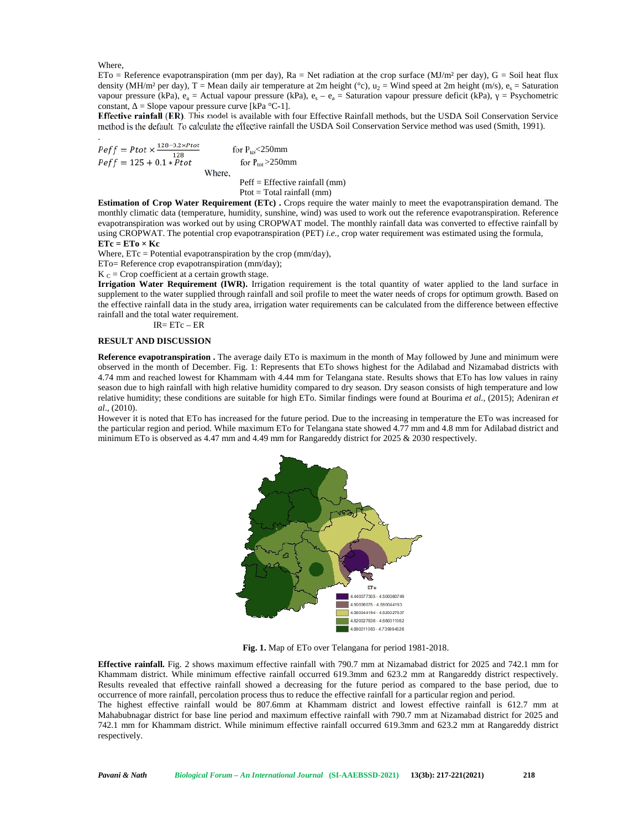Where,

ETo = Reference evapotranspiration (mm per day), Ra = Net radiation at the crop surface (MJ/m<sup>2</sup> per day), G = Soil heat flux density (MH/m² per day), T = Mean daily air temperature at 2m height ( $\degree$ c), u<sub>2</sub> = Wind speed at 2m height (m/s), e<sub>s</sub> = Saturation vapour pressure (kPa),  $e_a$  = Actual vapour pressure (kPa),  $e_s - e_a$  = Saturation vapour pressure deficit (kPa), = Psychometric constant, = Slope vapour pressure curve [kPa  $°C-1$ ].

**Effective rainfall (ER)**. This model is available with four Effective Rainfall methods, but the USDA Soil Conservation Service method is the default. To calculate the effective rainfall the USDA Soil Conservation Service method was used (Smith, 1991).

.  $= Ptot \times \frac{128 - 0.2 \times Ptot}{128}$ for  $P_{\text{tot}}$  < 250mm  $= 125 + 0.1 * Ptot$  for P<sub>tot</sub><250mm<br>for P<sub>tot</sub>>250mm Where,

Peff = Effective rainfall (mm) Ptot = Total rainfall (mm)

**Estimation of Crop Water Requirement (ETc) .** Crops require the water mainly to meet the evapotranspiration demand. The monthly climatic data (temperature, humidity, sunshine, wind) was used to work out the reference evapotranspiration. Reference evapotranspiration was worked out by using CROPWAT model. The monthly rainfall data was converted to effective rainfall by using CROPWAT. The potential crop evapotranspiration (PET) *i.e.,* crop water requirement was estimated using the formula, **ETc = ETo × Kc**

Where,  $ETc = Potential evaporation by the crop (mm/day),$ 

ETo= Reference crop evapotranspiration (mm/day);

 $K_C$  = Crop coefficient at a certain growth stage.

**Irrigation Water Requirement (IWR).** Irrigation requirement is the total quantity of water applied to the land surface in supplement to the water supplied through rainfall and soil profile to meet the water needs of crops for optimum growth. Based on the effective rainfall data in the study area, irrigation water requirements can be calculated from the difference between effective rainfall and the total water requirement.

IR= ETc – ER

## **RESULT AND DISCUSSION**

**Reference evapotranspiration .** The average daily ETo is maximum in the month of May followed by June and minimum were observed in the month of December. Fig. 1: Represents that ETo shows highest for the Adilabad and Nizamabad districts with 4.74 mm and reached lowest for Khammam with 4.44 mm for Telangana state. Results shows that ETo has low values in rainy season due to high rainfall with high relative humidity compared to dry season. Dry season consists of high temperature and low relative humidity; these conditions are suitable for high ETo. Similar findings were found at Bourima *et al.,* (2015); Adeniran *et al*., (2010).

However it is noted that ETo has increased for the future period. Due to the increasing in temperature the ETo was increased for the particular region and period. While maximum ETo for Telangana state showed 4.77 mm and 4.8 mm for Adilabad district and minimum ETo is observed as 4.47 mm and 4.49 mm for Rangareddy district for 2025 & 2030 respectively.



**Fig. 1.** Map of ETo over Telangana for period 1981-2018.

**Effective rainfall.** Fig. 2 shows maximum effective rainfall with 790.7 mm at Nizamabad district for 2025 and 742.1 mm for Khammam district. While minimum effective rainfall occurred 619.3mm and 623.2 mm at Rangareddy district respectively. Results revealed that effective rainfall showed a decreasing for the future period as compared to the base period, due to occurrence of more rainfall, percolation process thus to reduce the effective rainfall for a particular region and period.

The highest effective rainfall would be 807.6mm at Khammam district and lowest effective rainfall is 612.7 mm at Mahabubnagar district for base line period and maximum effective rainfall with 790.7 mm at Nizamabad district for 2025 and 742.1 mm for Khammam district. While minimum effective rainfall occurred 619.3mm and 623.2 mm at Rangareddy district respectively.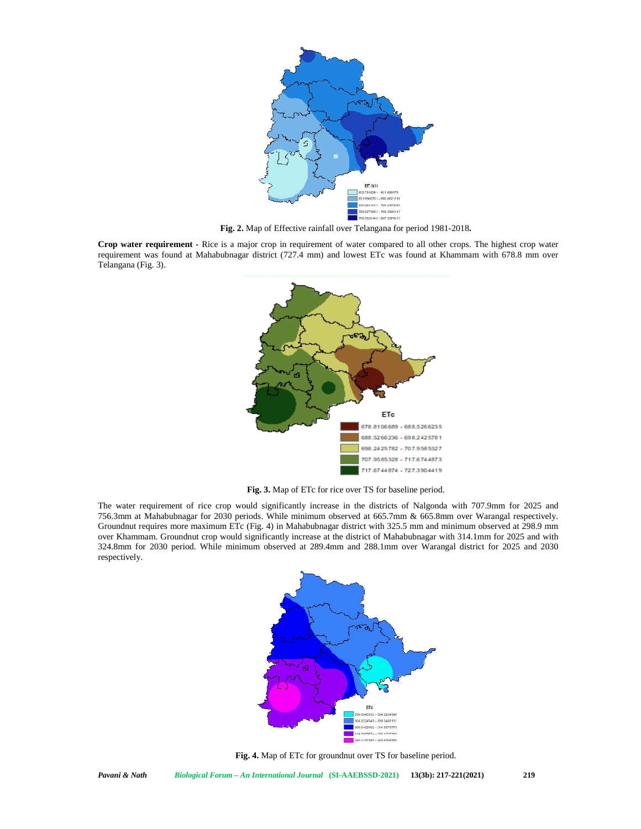

**Fig. 2.** Map of Effective rainfall over Telangana for period 1981-2018**.**

**Crop water requirement -** Rice is a major crop in requirement of water compared to all other crops. The highest crop water requirement was found at Mahabubnagar district (727.4 mm) and lowest ETc was found at Khammam with 678.8 mm over Telangana (Fig. 3).



**Fig. 3.** Map of ETc for rice over TS for baseline period.

The water requirement of rice crop would significantly increase in the districts of Nalgonda with 707.9mm for 2025 and 756.3mm at Mahabubnagar for 2030 periods. While minimum observed at 665.7mm & 665.8mm over Warangal respectively. Groundnut requires more maximum ETc (Fig. 4) in Mahabubnagar district with 325.5 mm and minimum observed at 298.9 mm over Khammam. Groundnut crop would significantly increase at the district of Mahabubnagar with 314.1mm for 2025 and with 324.8mm for 2030 period. While minimum observed at 289.4mm and 288.1mm over Warangal district for 2025 and 2030 respectively.



**Fig. 4.** Map of ETc for groundnut over TS for baseline period.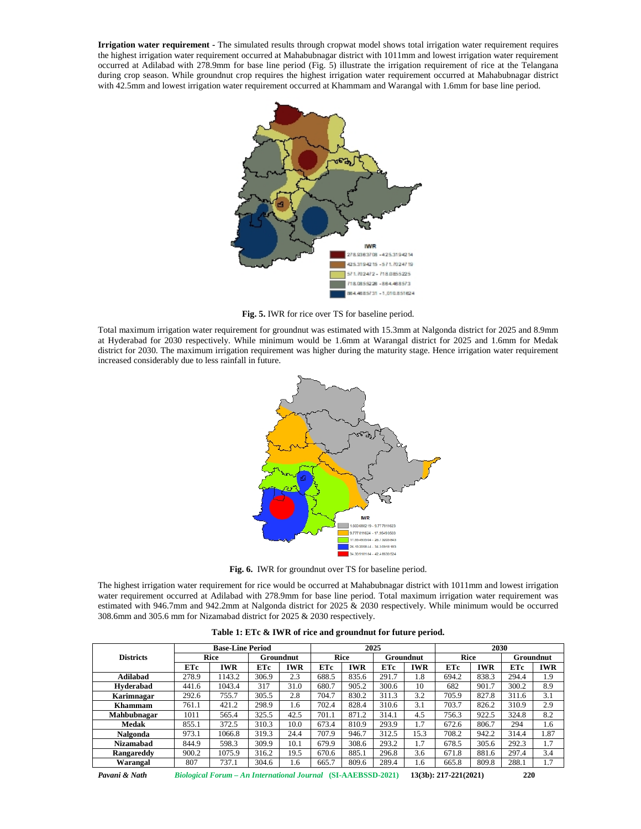**Irrigation water requirement -** The simulated results through cropwat model shows total irrigation water requirement requires the highest irrigation water requirement occurred at Mahabubnagar district with 1011mm and lowest irrigation water requirement occurred at Adilabad with 278.9mm for base line period (Fig. 5) illustrate the irrigation requirement of rice at the Telangana during crop season. While groundnut crop requires the highest irrigation water requirement occurred at Mahabubnagar district with 42.5mm and lowest irrigation water requirement occurred at Khammam and Warangal with 1.6mm for base line period.



**Fig. 5.** IWR for rice over TS for baseline period.

Total maximum irrigation water requirement for groundnut was estimated with 15.3mm at Nalgonda district for 2025 and 8.9mm at Hyderabad for 2030 respectively. While minimum would be 1.6mm at Warangal district for 2025 and 1.6mm for Medak district for 2030. The maximum irrigation requirement was higher during the maturity stage. Hence irrigation water requirement increased considerably due to less rainfall in future.



**Fig. 6.** IWR for groundnut over TS for baseline period.

The highest irrigation water requirement for rice would be occurred at Mahabubnagar district with 1011mm and lowest irrigation water requirement occurred at Adilabad with 278.9mm for base line period. Total maximum irrigation water requirement was estimated with 946.7mm and 942.2mm at Nalgonda district for 2025 & 2030 respectively. While minimum would be occurred 308.6mm and 305.6 mm for Nizamabad district for 2025 & 2030 respectively.

| <b>Districts</b> | <b>Base-Line Period</b> |            |                  |      | 2025        |            |                  |            | 2030        |            |                  |            |
|------------------|-------------------------|------------|------------------|------|-------------|------------|------------------|------------|-------------|------------|------------------|------------|
|                  | Rice                    |            | <b>Groundnut</b> |      | <b>Rice</b> |            | <b>Groundnut</b> |            | <b>Rice</b> |            | <b>Groundnut</b> |            |
|                  | ETc                     | <b>IWR</b> | <b>ETc</b>       | IWR  | ETc         | <b>IWR</b> | ETc              | <b>IWR</b> | ETc         | <b>IWR</b> | ETc              | <b>IWR</b> |
| Adilahad         | 278.9                   | 1143.2     | 306.9            | 2.3  | 688.5       | 835.6      | 291.7            | 1.8        | 694.2       | 838.3      | 294.4            | 1.9        |
| Hyderabad        | 441.6                   | 1043.4     | 317              | 31.0 | 680.7       | 905.2      | 300.6            | 10         | 682         | 901.7      | 300.2            | 8.9        |
| Karimnagar       | 292.6                   | 755.7      | 305.5            | 2.8  | 704.7       | 830.2      | 311.3            | 3.2        | 705.9       | 827.8      | 311.6            | 3.1        |
| Khammam          | 761.1                   | 421.2      | 298.9            | 1.6  | 702.4       | 828.4      | 310.6            | 3.1        | 703.7       | 826.2      | 310.9            | 2.9        |
| Mahbubnagar      | 1011                    | 565.4      | 325.5            | 42.5 | 701.1       | 871.2      | 314.1            | 4.5        | 756.3       | 922.5      | 324.8            | 8.2        |
| <b>Medak</b>     | 855.1                   | 372.5      | 310.3            | 10.0 | 673.4       | 810.9      | 293.9            | 1.7        | 672.6       | 806.7      | 294              | 1.6        |
| Nalgonda         | 973.1                   | 1066.8     | 319.3            | 24.4 | 707.9       | 946.7      | 312.5            | 15.3       | 708.2       | 942.2      | 314.4            | .87        |
| <b>Nizamabad</b> | 844.9                   | 598.3      | 309.9            | 10.1 | 679.9       | 308.6      | 293.2            | 1.7        | 678.5       | 305.6      | 292.3            | 1.7        |
| Rangareddy       | 900.2                   | 1075.9     | 316.2            | 19.5 | 670.6       | 885.1      | 296.8            | 3.6        | 671.8       | 881.6      | 297.4            | 3.4        |
| Warangal         | 807                     | 737.1      | 304.6            | .6   | 665.7       | 809.6      | 289.4            | 1.6        | 665.8       | 809.8      | 288.1            | 1.7        |

**Table 1: ETc & IWR of rice and groundnut for future period.**

*Pavani & Nath Biological Forum – An International Journal* **(SI-AAEBSSD-2021) 13(3b): 217-221(2021) 220**